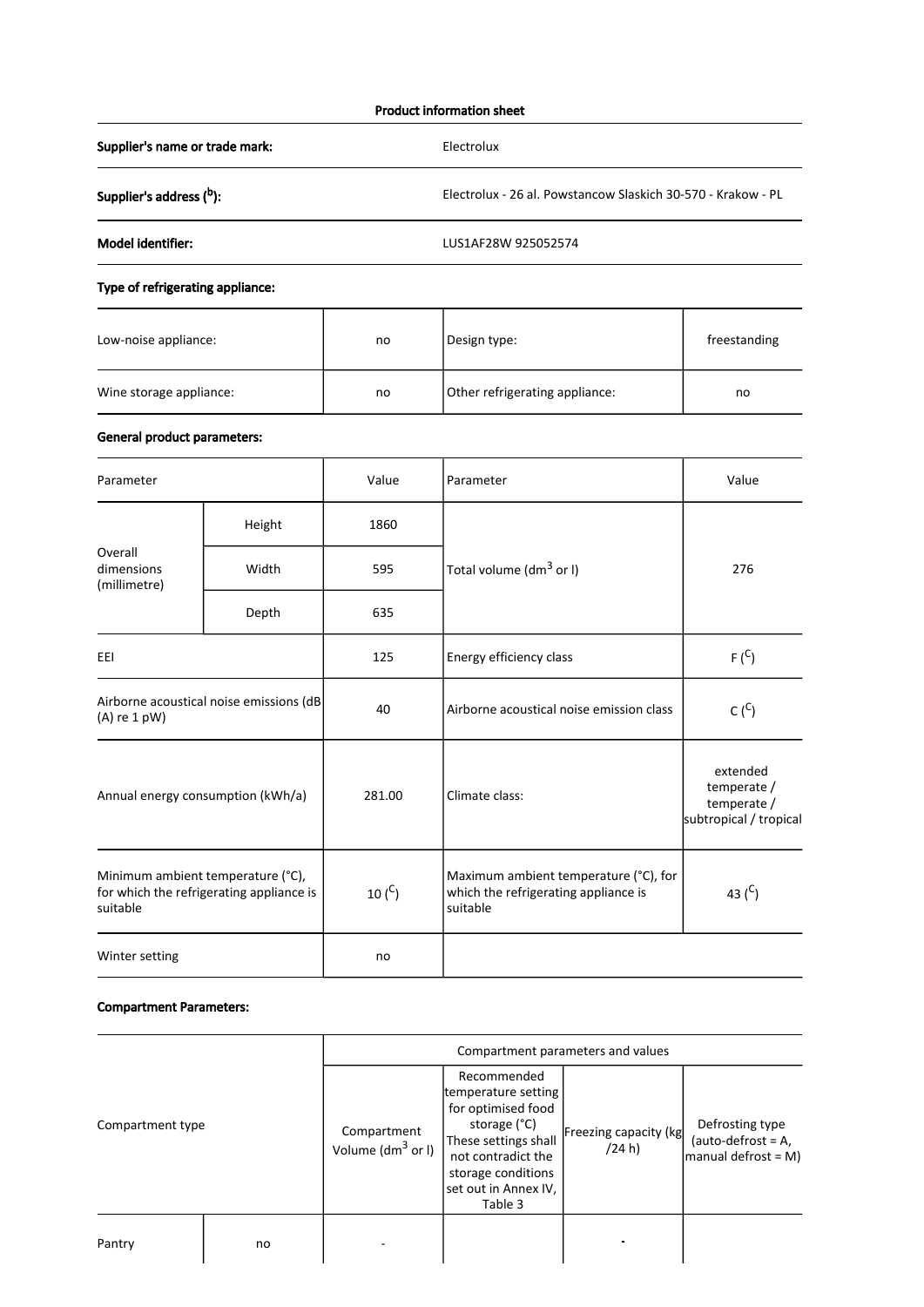### Product information sheet

Supplier's name or trade mark: Electrolux

Supplier's address  $(^b)$ : b Electrolux - 26 al. Powstancow Slaskich 30-570 - Krakow - PL

Model identifier: LUS1AF28W 925052574

## Type of refrigerating appliance:

| Low-noise appliance:    | no | Design type:                   | freestanding |
|-------------------------|----|--------------------------------|--------------|
| Wine storage appliance: | no | Other refrigerating appliance: | no           |

# General product parameters:

| Parameter                                                                                 |                                         | Value       | Parameter                                                                                 | Value                                                            |
|-------------------------------------------------------------------------------------------|-----------------------------------------|-------------|-------------------------------------------------------------------------------------------|------------------------------------------------------------------|
|                                                                                           | Height                                  | 1860        |                                                                                           | 276                                                              |
| Overall<br>dimensions<br>(millimetre)                                                     | Width                                   | 595         | Total volume (dm <sup>3</sup> or I)                                                       |                                                                  |
|                                                                                           | Depth                                   | 635         |                                                                                           |                                                                  |
| EEI                                                                                       |                                         | 125         | Energy efficiency class                                                                   | $F(^{C})$                                                        |
| $(A)$ re 1 pW)                                                                            | Airborne acoustical noise emissions (dB | 40          | Airborne acoustical noise emission class                                                  | $C(^{C})$                                                        |
| Annual energy consumption (kWh/a)                                                         |                                         | 281.00      | Climate class:                                                                            | extended<br>temperate /<br>temperate /<br>subtropical / tropical |
| Minimum ambient temperature (°C),<br>for which the refrigerating appliance is<br>suitable |                                         | 10 $(^{C})$ | Maximum ambient temperature (°C), for<br>which the refrigerating appliance is<br>suitable | 43 $(C)$                                                         |
| Winter setting                                                                            |                                         | no          |                                                                                           |                                                                  |

#### Compartment Parameters:

|                  |    | Compartment parameters and values    |                                                                                                                                                                                 |                                 |                                                                 |
|------------------|----|--------------------------------------|---------------------------------------------------------------------------------------------------------------------------------------------------------------------------------|---------------------------------|-----------------------------------------------------------------|
| Compartment type |    | Compartment<br>Volume ( $dm^3$ or I) | Recommended<br>temperature setting<br>for optimised food<br>storage (°C)<br>These settings shall<br>not contradict the<br>storage conditions<br>set out in Annex IV,<br>Table 3 | Freezing capacity (kg<br>(24 h) | Defrosting type<br>(auto-defrost = $A$ ,<br>manual defrost = M) |
| Pantry           | no |                                      |                                                                                                                                                                                 |                                 |                                                                 |